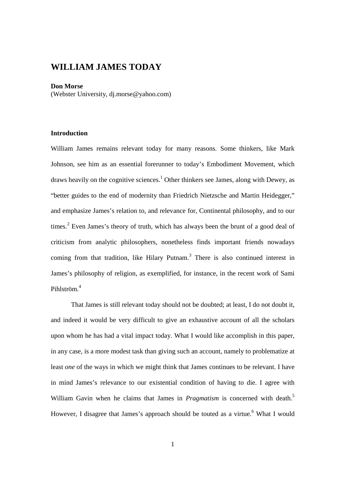# **WILLIAM JAMES TODAY**

#### **Don Morse**

(Webster University, dj.morse@yahoo.com)

## **Introduction**

William James remains relevant today for many reasons. Some thinkers, like Mark Johnson, see him as an essential forerunner to today's Embodiment Movement, which draws heavily on the cognitive sciences.<sup>1</sup> Other thinkers see James, along with Dewey, as "better guides to the end of modernity than Friedrich Nietzsche and Martin Heidegger," and emphasize James's relation to, and relevance for, Continental philosophy, and to our times.<sup>2</sup> Even James's theory of truth, which has always been the brunt of a good deal of criticism from analytic philosophers, nonetheless finds important friends nowadays coming from that tradition, like Hilary Putnam.<sup>3</sup> There is also continued interest in James's philosophy of religion, as exemplified, for instance, in the recent work of Sami Pihlström.<sup>4</sup>

That James is still relevant today should not be doubted; at least, I do not doubt it, and indeed it would be very difficult to give an exhaustive account of all the scholars upon whom he has had a vital impact today. What I would like accomplish in this paper, in any case, is a more modest task than giving such an account, namely to problematize at least *one* of the ways in which we might think that James continues to be relevant. I have in mind James's relevance to our existential condition of having to die. I agree with William Gavin when he claims that James in *Pragmatism* is concerned with death.<sup>5</sup> However, I disagree that James's approach should be touted as a virtue.<sup>6</sup> What I would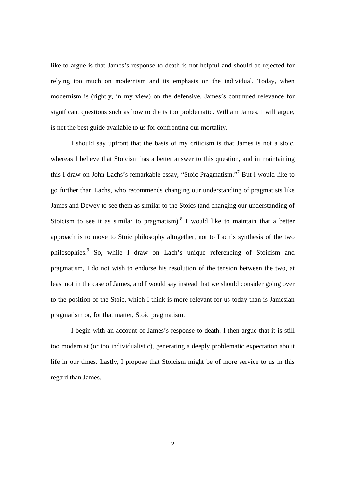like to argue is that James's response to death is not helpful and should be rejected for relying too much on modernism and its emphasis on the individual. Today, when modernism is (rightly, in my view) on the defensive, James's continued relevance for significant questions such as how to die is too problematic. William James, I will argue, is not the best guide available to us for confronting our mortality.

I should say upfront that the basis of my criticism is that James is not a stoic, whereas I believe that Stoicism has a better answer to this question, and in maintaining this I draw on John Lachs's remarkable essay, "Stoic Pragmatism."<sup>7</sup> But I would like to go further than Lachs, who recommends changing our understanding of pragmatists like James and Dewey to see them as similar to the Stoics (and changing our understanding of Stoicism to see it as similar to pragmatism). <sup>8</sup> I would like to maintain that a better approach is to move to Stoic philosophy altogether, not to Lach's synthesis of the two philosophies.<sup>9</sup> So, while I draw on Lach's unique referencing of Stoicism and pragmatism, I do not wish to endorse his resolution of the tension between the two, at least not in the case of James, and I would say instead that we should consider going over to the position of the Stoic, which I think is more relevant for us today than is Jamesian pragmatism or, for that matter, Stoic pragmatism.

I begin with an account of James's response to death. I then argue that it is still too modernist (or too individualistic), generating a deeply problematic expectation about life in our times. Lastly, I propose that Stoicism might be of more service to us in this regard than James.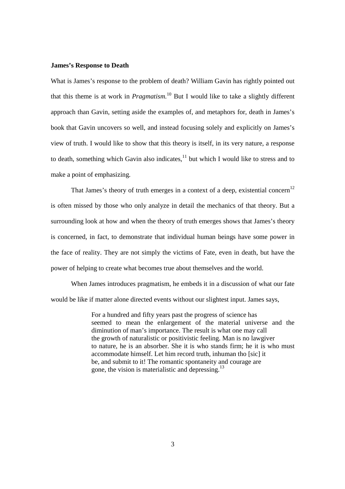#### **James's Response to Death**

What is James's response to the problem of death? William Gavin has rightly pointed out that this theme is at work in *Pragmatism.*<sup>10</sup> But I would like to take a slightly different approach than Gavin, setting aside the examples of, and metaphors for, death in James's book that Gavin uncovers so well, and instead focusing solely and explicitly on James's view of truth. I would like to show that this theory is itself, in its very nature, a response to death, something which Gavin also indicates, $^{11}$  but which I would like to stress and to make a point of emphasizing.

That James's theory of truth emerges in a context of a deep, existential concern<sup>12</sup> is often missed by those who only analyze in detail the mechanics of that theory. But a surrounding look at how and when the theory of truth emerges shows that James's theory is concerned, in fact, to demonstrate that individual human beings have some power in the face of reality. They are not simply the victims of Fate, even in death, but have the power of helping to create what becomes true about themselves and the world.

When James introduces pragmatism, he embeds it in a discussion of what our fate would be like if matter alone directed events without our slightest input. James says,

> For a hundred and fifty years past the progress of science has seemed to mean the enlargement of the material universe and the diminution of man's importance. The result is what one may call the growth of naturalistic or positivistic feeling. Man is no lawgiver to nature, he is an absorber. She it is who stands firm; he it is who must accommodate himself. Let him record truth, inhuman tho [sic] it be, and submit to it! The romantic spontaneity and courage are gone, the vision is materialistic and depressing.<sup>13</sup>

> > 3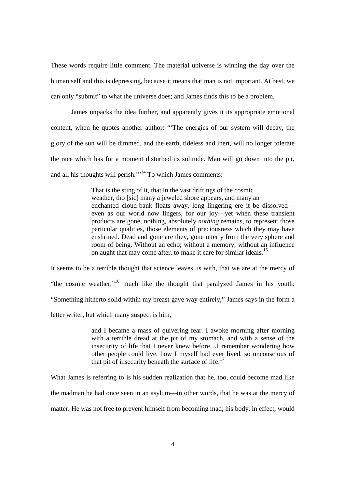These words require little comment. The material universe is winning the day over the human self and this is depressing, because it means that man is not important. At best, we can only "submit" to what the universe does; and James finds this to be a problem.

 James unpacks the idea further, and apparently gives it its appropriate emotional content, when he quotes another author: "'The energies of our system will decay, the glory of the sun will be dimmed, and the earth, tideless and inert, will no longer tolerate the race which has for a moment disturbed its solitude. Man will go down into the pit, and all his thoughts will perish."<sup>14</sup> To which James comments:

> That is the sting of it, that in the vast driftings of the cosmic weather, tho [sic] many a jeweled shore appears, and many an enchanted cloud-bank floats away, long lingering ere it be dissolved even as our world now lingers, for our joy—yet when these transient products are gone, nothing, absolutely *nothing* remains, to represent those particular qualities, those elements of preciousness which they may have enshrined. Dead and gone are they, gone utterly from the very sphere and room of being. Without an echo; without a memory; without an influence on aught that may come after, to make it care for similar ideals.<sup>15</sup>

It seems to be a terrible thought that science leaves us with, that we are at the mercy of "the cosmic weather,"<sup>16</sup> much like the thought that paralyzed James in his youth: "Something hitherto solid within my breast gave way entirely," James says in the form a letter writer, but which many suspect is him,

> and I became a mass of quivering fear. I awoke morning after morning with a terrible dread at the pit of my stomach, and with a sense of the insecurity of life that I never knew before…I remember wondering how other people could live, how I myself had ever lived, so unconscious of that pit of insecurity beneath the surface of life. $17$

What James is referring to is his sudden realization that he, too, could become mad like the madman he had once seen in an asylum—in other words, that he was at the mercy of matter. He was not free to prevent himself from becoming mad; his body, in effect, would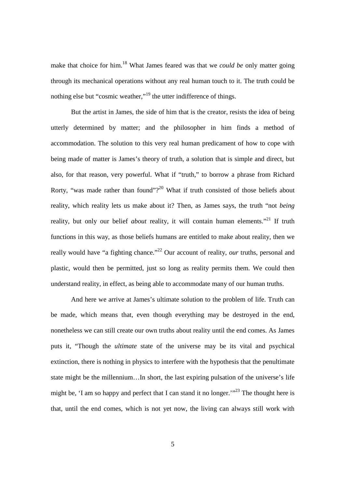make that choice for him.<sup>18</sup> What James feared was that we *could be* only matter going through its mechanical operations without any real human touch to it. The truth could be nothing else but "cosmic weather,"<sup>19</sup> the utter indifference of things.

 But the artist in James, the side of him that is the creator, resists the idea of being utterly determined by matter; and the philosopher in him finds a method of accommodation. The solution to this very real human predicament of how to cope with being made of matter is James's theory of truth, a solution that is simple and direct, but also, for that reason, very powerful. What if "truth," to borrow a phrase from Richard Rorty, "was made rather than found"?<sup>20</sup> What if truth consisted of those beliefs about reality, which reality lets us make about it? Then, as James says, the truth "not *being* reality, but only our belief *about* reality, it will contain human elements."<sup>21</sup> If truth functions in this way, as those beliefs humans are entitled to make about reality, then we really would have "a fighting chance."<sup>22</sup> Our account of reality, *our* truths, personal and plastic, would then be permitted, just so long as reality permits them. We could then understand reality, in effect, as being able to accommodate many of our human truths.

And here we arrive at James's ultimate solution to the problem of life. Truth can be made, which means that, even though everything may be destroyed in the end, nonetheless we can still create our own truths about reality until the end comes. As James puts it, "Though the *ultimate* state of the universe may be its vital and psychical extinction, there is nothing in physics to interfere with the hypothesis that the penultimate state might be the millennium…In short, the last expiring pulsation of the universe's life might be, 'I am so happy and perfect that I can stand it no longer.'<sup>23</sup> The thought here is that, until the end comes, which is not yet now, the living can always still work with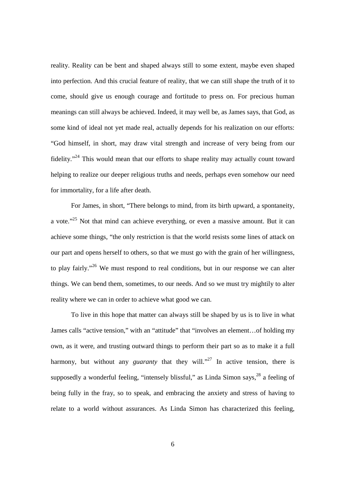reality. Reality can be bent and shaped always still to some extent, maybe even shaped into perfection. And this crucial feature of reality, that we can still shape the truth of it to come, should give us enough courage and fortitude to press on. For precious human meanings can still always be achieved. Indeed, it may well be, as James says, that God, as some kind of ideal not yet made real, actually depends for his realization on our efforts: "God himself, in short, may draw vital strength and increase of very being from our fidelity."<sup>24</sup> This would mean that our efforts to shape reality may actually count toward helping to realize our deeper religious truths and needs, perhaps even somehow our need for immortality, for a life after death.

For James, in short, "There belongs to mind, from its birth upward, a spontaneity, a vote."<sup>25</sup> Not that mind can achieve everything, or even a massive amount. But it can achieve some things, "the only restriction is that the world resists some lines of attack on our part and opens herself to others, so that we must go with the grain of her willingness, to play fairly."<sup>26</sup> We must respond to real conditions, but in our response we can alter things. We can bend them, sometimes, to our needs. And so we must try mightily to alter reality where we can in order to achieve what good we can.

To live in this hope that matter can always still be shaped by us is to live in what James calls "active tension," with an "attitude" that "involves an element…of holding my own, as it were, and trusting outward things to perform their part so as to make it a full harmony, but without any *guaranty* that they will."<sup>27</sup> In active tension, there is supposedly a wonderful feeling, "intensely blissful," as Linda Simon says,  $28$  a feeling of being fully in the fray, so to speak, and embracing the anxiety and stress of having to relate to a world without assurances. As Linda Simon has characterized this feeling,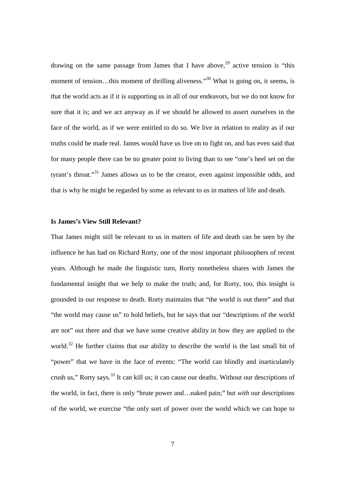drawing on the same passage from James that I have above,<sup>29</sup> active tension is "this moment of tension...this moment of thrilling aliveness."<sup>30</sup> What is going on, it seems, is that the world acts as if it is supporting us in all of our endeavors, but we do not know for sure that it is; and we act anyway as if we should be allowed to assert ourselves in the face of the world, as if we were entitled to do so. We live in relation to reality as if our truths could be made real. James would have us live on to fight on, and has even said that for many people there can be no greater point to living than to see "one's heel set on the tyrant's throat."<sup>31</sup> James allows us to be the creator, even against impossible odds, and that is why he might be regarded by some as relevant to us in matters of life and death.

#### **Is James's View Still Relevant?**

That James might still be relevant to us in matters of life and death can be seen by the influence he has had on Richard Rorty, one of the most important philosophers of recent years. Although he made the linguistic turn, Rorty nonetheless shares with James the fundamental insight that we help to make the truth; and, for Rorty, too, this insight is grounded in our response to death. Rorty maintains that "the world is out there" and that "the world may cause us" to hold beliefs, but he says that our "descriptions of the world are not" out there and that we have some creative ability in how they are applied to the world.<sup>32</sup> He further claims that our ability to describe the world is the last small bit of "power" that we have in the face of events: "The world can blindly and inarticulately crush us," Rorty says.<sup>33</sup> It can kill us; it can cause our deaths. Without our descriptions of the world, in fact, there is only "brute power and…naked pain;" but *with* our descriptions of the world, we exercise "the only sort of power over the world which we can hope to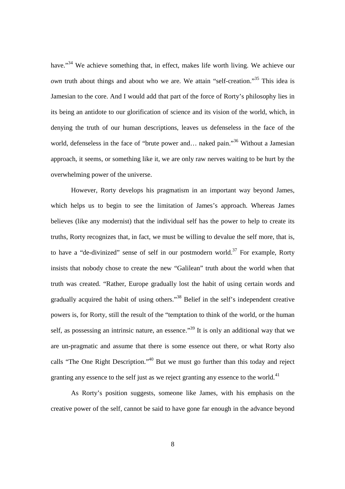have."<sup>34</sup> We achieve something that, in effect, makes life worth living. We achieve our *own* truth about things and about who we are. We attain "self-creation."<sup>35</sup> This idea is Jamesian to the core. And I would add that part of the force of Rorty's philosophy lies in its being an antidote to our glorification of science and its vision of the world, which, in denying the truth of our human descriptions, leaves us defenseless in the face of the world, defenseless in the face of "brute power and... naked pain."<sup>36</sup> Without a Jamesian approach, it seems, or something like it, we are only raw nerves waiting to be hurt by the overwhelming power of the universe.

 However, Rorty develops his pragmatism in an important way beyond James, which helps us to begin to see the limitation of James's approach. Whereas James believes (like any modernist) that the individual self has the power to help to create its truths, Rorty recognizes that, in fact, we must be willing to devalue the self more, that is, to have a "de-divinized" sense of self in our postmodern world.<sup>37</sup> For example, Rorty insists that nobody chose to create the new "Galilean" truth about the world when that truth was created. "Rather, Europe gradually lost the habit of using certain words and gradually acquired the habit of using others."<sup>38</sup> Belief in the self's independent creative powers is, for Rorty, still the result of the "temptation to think of the world, or the human self, as possessing an intrinsic nature, an essence."<sup>39</sup> It is only an additional way that we are un-pragmatic and assume that there is some essence out there, or what Rorty also calls "The One Right Description."<sup>40</sup> But we must go further than this today and reject granting any essence to the self just as we reject granting any essence to the world. $41$ 

As Rorty's position suggests, someone like James, with his emphasis on the creative power of the self, cannot be said to have gone far enough in the advance beyond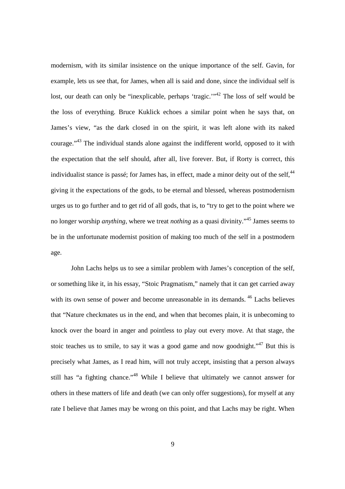modernism, with its similar insistence on the unique importance of the self. Gavin, for example, lets us see that, for James, when all is said and done, since the individual self is lost, our death can only be "inexplicable, perhaps 'tragic.'<sup>"42</sup> The loss of self would be the loss of everything. Bruce Kuklick echoes a similar point when he says that, on James's view, "as the dark closed in on the spirit, it was left alone with its naked courage."<sup>43</sup> The individual stands alone against the indifferent world, opposed to it with the expectation that the self should, after all, live forever. But, if Rorty is correct, this individualist stance is passé; for James has, in effect, made a minor deity out of the self,  $44$ giving it the expectations of the gods, to be eternal and blessed, whereas postmodernism urges us to go further and to get rid of all gods, that is, to "try to get to the point where we no longer worship *anything,* where we treat *nothing* as a quasi divinity."<sup>45</sup> James seems to be in the unfortunate modernist position of making too much of the self in a postmodern age.

John Lachs helps us to see a similar problem with James's conception of the self, or something like it, in his essay, "Stoic Pragmatism," namely that it can get carried away with its own sense of power and become unreasonable in its demands.<sup>46</sup> Lachs believes that "Nature checkmates us in the end, and when that becomes plain, it is unbecoming to knock over the board in anger and pointless to play out every move. At that stage, the stoic teaches us to smile, to say it was a good game and now goodnight."<sup>47</sup> But this is precisely what James, as I read him, will not truly accept, insisting that a person always still has "a fighting chance."<sup>48</sup> While I believe that ultimately we cannot answer for others in these matters of life and death (we can only offer suggestions), for myself at any rate I believe that James may be wrong on this point, and that Lachs may be right. When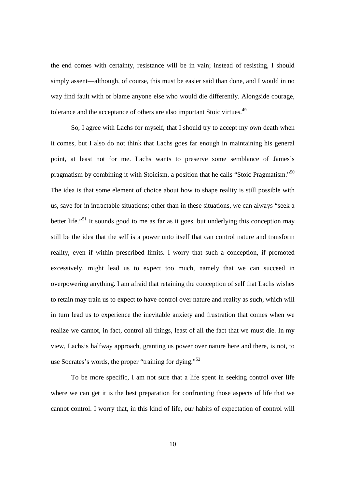the end comes with certainty, resistance will be in vain; instead of resisting, I should simply assent—although, of course, this must be easier said than done, and I would in no way find fault with or blame anyone else who would die differently. Alongside courage, tolerance and the acceptance of others are also important Stoic virtues.<sup>49</sup>

So, I agree with Lachs for myself, that I should try to accept my own death when it comes, but I also do not think that Lachs goes far enough in maintaining his general point, at least not for me. Lachs wants to preserve some semblance of James's pragmatism by combining it with Stoicism, a position that he calls "Stoic Pragmatism."<sup>50</sup> The idea is that some element of choice about how to shape reality is still possible with us, save for in intractable situations; other than in these situations, we can always "seek a better life."<sup>51</sup> It sounds good to me as far as it goes, but underlying this conception may still be the idea that the self is a power unto itself that can control nature and transform reality, even if within prescribed limits. I worry that such a conception, if promoted excessively, might lead us to expect too much, namely that we can succeed in overpowering anything. I am afraid that retaining the conception of self that Lachs wishes to retain may train us to expect to have control over nature and reality as such, which will in turn lead us to experience the inevitable anxiety and frustration that comes when we realize we cannot, in fact, control all things, least of all the fact that we must die. In my view, Lachs's halfway approach, granting us power over nature here and there, is not, to use Socrates's words, the proper "training for dying."<sup>52</sup>

To be more specific, I am not sure that a life spent in seeking control over life where we can get it is the best preparation for confronting those aspects of life that we cannot control. I worry that, in this kind of life, our habits of expectation of control will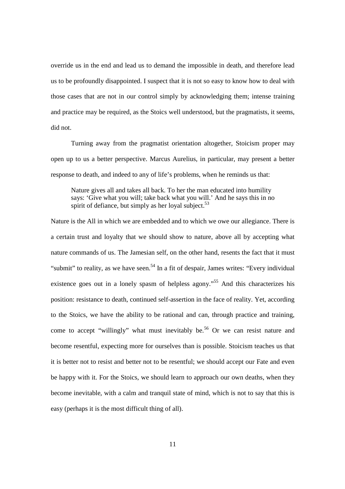override us in the end and lead us to demand the impossible in death, and therefore lead us to be profoundly disappointed. I suspect that it is not so easy to know how to deal with those cases that are not in our control simply by acknowledging them; intense training and practice may be required, as the Stoics well understood, but the pragmatists, it seems, did not.

Turning away from the pragmatist orientation altogether, Stoicism proper may open up to us a better perspective. Marcus Aurelius, in particular, may present a better response to death, and indeed to any of life's problems, when he reminds us that:

Nature gives all and takes all back. To her the man educated into humility says: 'Give what you will; take back what you will.' And he says this in no spirit of defiance, but simply as her loyal subject.<sup>53</sup>

Nature is the All in which we are embedded and to which we owe our allegiance. There is a certain trust and loyalty that we should show to nature, above all by accepting what nature commands of us. The Jamesian self, on the other hand, resents the fact that it must "submit" to reality, as we have seen.<sup>54</sup> In a fit of despair, James writes: "Every individual" existence goes out in a lonely spasm of helpless agony.<sup>55</sup> And this characterizes his position: resistance to death, continued self-assertion in the face of reality. Yet, according to the Stoics, we have the ability to be rational and can, through practice and training, come to accept "willingly" what must inevitably be.<sup>56</sup> Or we can resist nature and become resentful, expecting more for ourselves than is possible. Stoicism teaches us that it is better not to resist and better not to be resentful; we should accept our Fate and even be happy with it. For the Stoics, we should learn to approach our own deaths, when they become inevitable, with a calm and tranquil state of mind, which is not to say that this is easy (perhaps it is the most difficult thing of all).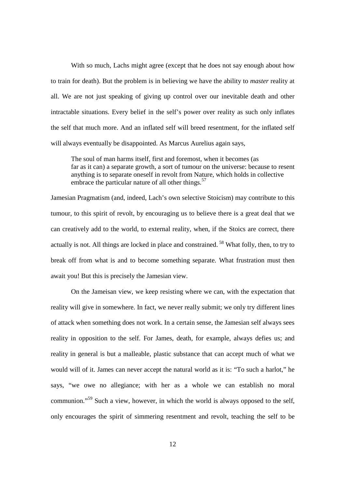With so much, Lachs might agree (except that he does not say enough about how to train for death). But the problem is in believing we have the ability to *master* reality at all. We are not just speaking of giving up control over our inevitable death and other intractable situations. Every belief in the self's power over reality as such only inflates the self that much more. And an inflated self will breed resentment, for the inflated self will always eventually be disappointed. As Marcus Aurelius again says,

 The soul of man harms itself, first and foremost, when it becomes (as far as it can) a separate growth, a sort of tumour on the universe: because to resent anything is to separate oneself in revolt from Nature, which holds in collective embrace the particular nature of all other things.<sup>57</sup>

Jamesian Pragmatism (and, indeed, Lach's own selective Stoicism) may contribute to this tumour, to this spirit of revolt, by encouraging us to believe there is a great deal that we can creatively add to the world, to external reality, when, if the Stoics are correct, there actually is not. All things are locked in place and constrained.<sup>58</sup> What folly, then, to try to break off from what is and to become something separate. What frustration must then await you! But this is precisely the Jamesian view.

On the Jameisan view, we keep resisting where we can, with the expectation that reality will give in somewhere. In fact, we never really submit; we only try different lines of attack when something does not work. In a certain sense, the Jamesian self always sees reality in opposition to the self. For James, death, for example, always defies us; and reality in general is but a malleable, plastic substance that can accept much of what we would will of it. James can never accept the natural world as it is: "To such a harlot," he says, "we owe no allegiance; with her as a whole we can establish no moral communion."<sup>59</sup> Such a view, however, in which the world is always opposed to the self, only encourages the spirit of simmering resentment and revolt, teaching the self to be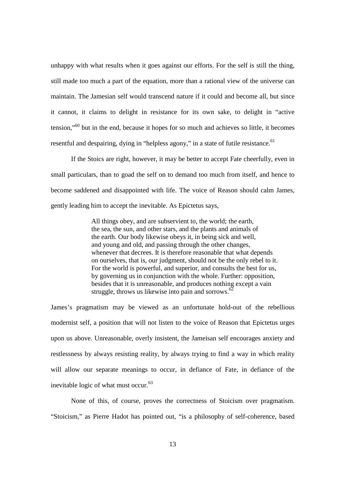unhappy with what results when it goes against our efforts. For the self is still the thing, still made too much a part of the equation, more than a rational view of the universe can maintain. The Jamesian self would transcend nature if it could and become all, but since it cannot, it claims to delight in resistance for its own sake, to delight in "active tension,"<sup>60</sup> but in the end, because it hopes for so much and achieves so little, it becomes resentful and despairing, dying in "helpless agony," in a state of futile resistance.  $61$ 

If the Stoics are right, however, it may be better to accept Fate cheerfully, even in small particulars, than to goad the self on to demand too much from itself, and hence to become saddened and disappointed with life. The voice of Reason should calm James, gently leading him to accept the inevitable. As Epictetus says,

 All things obey, and are subservient to, the world; the earth, the sea, the sun, and other stars, and the plants and animals of the earth. Our body likewise obeys it, in being sick and well, and young and old, and passing through the other changes, whenever that decrees. It is therefore reasonable that what depends on ourselves, that is, our judgment, should not be the only rebel to it. For the world is powerful, and superior, and consults the best for us, by governing us in conjunction with the whole. Further: opposition, besides that it is unreasonable, and produces nothing except a vain struggle, throws us likewise into pain and sorrows.<sup>62</sup>

James's pragmatism may be viewed as an unfortunate hold-out of the rebellious modernist self, a position that will not listen to the voice of Reason that Epictetus urges upon us above. Unreasonable, overly insistent, the Jameisan self encourages anxiety and restlessness by always resisting reality, by always trying to find a way in which reality will allow our separate meanings to occur, in defiance of Fate, in defiance of the inevitable logic of what must occur.<sup>63</sup>

None of this, of course, proves the correctness of Stoicism over pragmatism. "Stoicism," as Pierre Hadot has pointed out, "is a philosophy of self-coherence, based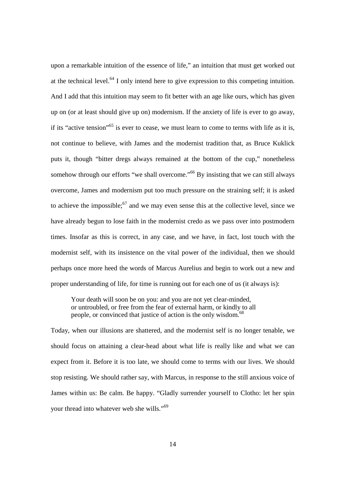upon a remarkable intuition of the essence of life," an intuition that must get worked out at the technical level.<sup>64</sup> I only intend here to give expression to this competing intuition. And I add that this intuition may seem to fit better with an age like ours, which has given up on (or at least should give up on) modernism. If the anxiety of life is ever to go away, if its "active tension"<sup>65</sup> is ever to cease, we must learn to come to terms with life as it is, not continue to believe, with James and the modernist tradition that, as Bruce Kuklick puts it, though "bitter dregs always remained at the bottom of the cup," nonetheless somehow through our efforts "we shall overcome."<sup>66</sup> By insisting that we can still always overcome, James and modernism put too much pressure on the straining self; it is asked to achieve the impossible; $67$  and we may even sense this at the collective level, since we have already begun to lose faith in the modernist credo as we pass over into postmodern times. Insofar as this is correct, in any case, and we have, in fact, lost touch with the modernist self, with its insistence on the vital power of the individual, then we should perhaps once more heed the words of Marcus Aurelius and begin to work out a new and proper understanding of life, for time is running out for each one of us (it always is):

 Your death will soon be on you: and you are not yet clear-minded, or untroubled, or free from the fear of external harm, or kindly to all people, or convinced that justice of action is the only wisdom.<sup>68</sup>

Today, when our illusions are shattered, and the modernist self is no longer tenable, we should focus on attaining a clear-head about what life is really like and what we can expect from it. Before it is too late, we should come to terms with our lives. We should stop resisting. We should rather say, with Marcus, in response to the still anxious voice of James within us: Be calm. Be happy. "Gladly surrender yourself to Clotho: let her spin your thread into whatever web she wills."<sup>69</sup>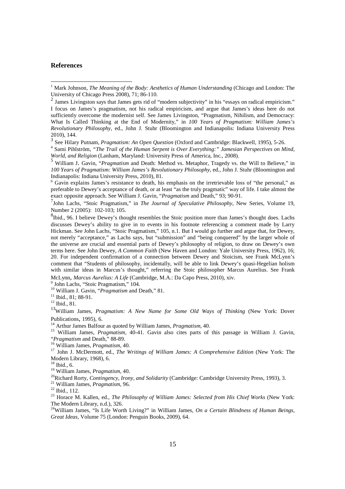### **References**

7 John Lachs, "Stoic Pragmatism," in *The Journal of Speculative Philosophy*, New Series, Volume 19, Number 2 (2005): 102-103; 105.

9 John Lachs, "Stoic Pragmatism," 104.

<sup>10</sup> William J. Gavin, "*Pragmatism* and Death," 81.

<sup>11</sup> Ibid., 81; 88-91.

<sup>12</sup> Ibid., 81.

<sup>13</sup>William James, *Pragmatism: A New Name for Some Old Ways of Thinking* (New York: Dover Publications, 1995), 6.

<sup>14</sup> Arthur James Balfour as quoted by William James, *Pragmatism*, 40.

<sup>15</sup> William James, *Pragmatism*, 40-41. Gavin also cites parts of this passage in William J. Gavin, "*Pragmatism* and Death*,*" 88-89.

<sup>16</sup> William James, *Pragmatism*, 40.

<sup>17</sup> John J. McDermott, ed., *The Writings of William James: A Comprehensive Edition* (New York: The Modern Library, 1968), 6.

 $18$  Ibid., 6.

<sup>19</sup> William James, *Pragmatism,* 40.

<sup>20</sup>Richard Rorty, *Contingency, Irony, and Solidarity* (Cambridge: Cambridge University Press, 1993), 3.

<sup>21</sup> William James, *Pragmatism,* 96.

<sup>22</sup> Ibid., 112.

<sup>23</sup> Horace M. Kallen, ed., *The Philosophy of William James: Selected from His Chief Works* (New York: The Modern Library, n.d.), 326.

<sup>24</sup>William James, "Is Life Worth Living?" in William James, *On a Certain Blindness of Human Beings, Great Ideas,* Volume 75 (London: Penguin Books, 2009), 64.

 1 Mark Johnson, *The Meaning of the Body: Aesthetics of Human Understanding* (Chicago and London: The University of Chicago Press 2008), 71; 86-110.

 $<sup>2</sup>$  James Livingston says that James gets rid of "modern subjectivity" in his "essays on radical empiricism."</sup> I focus on James's pragmatism, not his radical empiricism, and argue that James's ideas here do not sufficiently overcome the modernist self. See James Livingston, "Pragmatism, Nihilism, and Democracy: What Is Called Thinking at the End of Modernity," in *100 Years of Pragmatism: William James's Revolutionary Philosophy,* ed., John J. Stuhr (Bloomington and Indianapolis: Indiana University Press 2010), 144.

<sup>3</sup> See Hilary Putnam, *Pragmatism: An Open Question* (Oxford and Cambridge: Blackwell, 1995), 5-26.

<sup>4</sup> Sami Pihlström, *"The Trail of the Human Serpent is Over Everything:" Jamesian Perspectives on Mind, World, and Religion* (Lanham, Maryland: University Press of America, Inc., 2008).

<sup>&</sup>lt;sup>5</sup> William J. Gavin, "Pragmatism and Death: Method vs. Metaphor, Tragedy vs. the Will to Believe," in *100 Years of Pragmatism: William James's Revolutionary Philosophy*, ed., John J. Stuhr (Bloomington and Indianapolis: Indiana University Press, 2010), 81.

<sup>&</sup>lt;sup>6</sup> Gavin explains James's resistance to death, his emphasis on the irretrievable loss of "the personal," as preferable to Dewey's acceptance of death, or at least "as the truly pragmatic" way of life. I take almost the exact opposite approach. See William J. Gavin, "*Pragmatism* and Death," 93; 90-91.

<sup>&</sup>lt;sup>8</sup>Ibid., 96. I believe Dewey's thought resembles the Stoic position more than James's thought does. Lachs discusses Dewey's ability to give in to events in his footnote referencing a comment made by Larry Hickman. See John Lachs, "Stoic Pragmatism," 105, n.1. But I would go further and argue that, for Dewey, not merely "acceptance," as Lachs says, but "submission" and "being conquered" by the larger whole of the universe are crucial and essential parts of Dewey's philosophy of religion, to draw on Dewey's own terms here. See John Dewey, *A Common Faith* (New Haven and London: Yale University Press, 1962), 16; 20. For independent confirmation of a connection between Dewey and Stoicism, see Frank McLynn's comment that "Students of philosophy, incidentally, will be able to link Dewey's quasi-Hegelian holism with similar ideas in Marcus's thought," referring the Stoic philosopher Marcus Aurelius. See Frank McLynn, *Marcus Aurelius: A Life* (Cambridge, M.A.: Da Capo Press, 2010), xiv.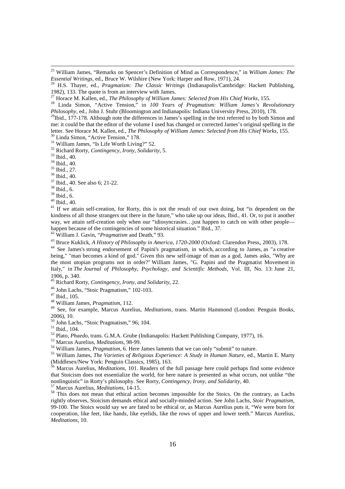<sup>25</sup> William James, "Remarks on Spencer's Definition of Mind as Correspondence," in *William James: The Essential Writings,* ed., Bruce W. Wilshire (New York: Harper and Row, 1971), 24.

<sup>27</sup> Horace M. Kallen, ed., *The Philosophy of William James: Selected from His Chief Works*, 155.

<sup>28</sup> Linda Simon, "Active Tension," in *100 Years of Pragmatism: William James's Revolutionary Philosophy,* ed., John J. Stuhr (Bloomington and Indianapolis: Indiana University Press, 2010), 178.

<sup>29</sup>Ibid., 177-178. Although note the differences in James's spelling in the text referred to by both Simon and me: it could be that the editor of the volume I used has changed or corrected James's original spelling in the letter. See Horace M. Kallen, ed., *The Philosophy of William James: Selected from His Chief Works*, 155.

<sup>30</sup> Linda Simon, "Active Tension," 178.

<sup>31</sup> William James, "Is Life Worth Living?" 52.

<sup>32</sup> Richard Rorty, *Contingency, Irony, Solidarity*, 5.

<sup>33</sup> Ibid., 40.

 $\overline{a}$ 

<sup>34</sup> Ibid., 40.

 $35$  Ibid., 27.

<sup>36</sup> Ibid., 40.

<sup>37</sup> Ibid., 40. See also 6; 21-22.

 $38$  Ibid., 6.

 $39$  Ibid., 6.

 $40$  Ibid., 40.

<sup>41</sup> If we attain self-creation, for Rorty, this is not the result of our own doing, but "is dependent on the kindness of all those strangers out there in the future," who take up our ideas, Ibid., 41. Or, to put it another way, we attain self-creation only when our "idiosyncrasies...just happen to catch on with other peoplehappen because of the contingencies of some historical situation." Ibid., 37.

<sup>42</sup> William J. Gavin, "*Pragmatism* and Death," 93.

<sup>43</sup> Bruce Kuklick, *A History of Philosophy in America, 1720-2000* (Oxford: Clarendon Press, 2003), 178.

<sup>44</sup> See James's strong endorsement of Papini's pragmatism, in which, according to James, as "a creative being," "man becomes a kind of god." Given this new self-image of man as a god, James asks, "Why are the most utopian programs not in order?" William James, "G. Papini and the Pragmatist Movement in Italy," in *The Journal of Philosophy, Psychology, and Scientific Methods,* Vol. III, No. 13: June 21, 1906, p. 340.

<sup>45</sup> Richard Rorty, *Contingency, Irony, and Solidarity*, 22.

<sup>46</sup> John Lachs, "Stoic Pragmatism," 102-103.

<sup>47</sup> Ibid., 105.

<sup>48</sup> William James, *Pragmatism,* 112.

<sup>49</sup> See, for example, Marcus Aurelius, *Meditations*, trans. Martin Hammond (London: Penguin Books, 2006), 10.

<sup>50</sup> John Lachs, "Stoic Pragmatism," 96; 104.

<sup>51</sup> Ibid., 104.

<sup>52</sup> Plato, *Phaedo*, trans. G.M.A. Grube (Indianapolis: Hackett Publishing Company, 1977), 16.

<sup>53</sup> Marcus Aurelius, *Meditations*, 98-99.

<sup>54</sup> William James, *Pragmatism,* 6. Here James laments that we can only "submit" to nature.

<sup>55</sup> William James, *The Varieties of Religious Experience: A Study in Human Nature*, ed., Martin E. Marty (Middlesex/New York: Penguin Classics, 1985), 163.

<sup>56</sup> Marcus Aurelius, *Meditations,* 101. Readers of the full passage here could perhaps find some evidence that Stoicism does not essentialize the world, for here nature is presented as what occurs, not unlike "the nonlinguistic" in Rorty's philosophy. See Rorty, *Contingency, Irony, and Solidarity,* 40.

<sup>57</sup> Marcus Aurelius, *Meditations*, 14-15.

<sup>58</sup> This does not mean that ethical action becomes impossible for the Stoics. On the contrary, as Lachs rightly observes, Stoicism demands ethical and socially-minded action. See John Lachs, *Stoic Pragmatism,*  99-100. The Stoics would say we are fated to be ethical or, as Marcus Aurelius puts it, "We were born for cooperation, like feet, like hands, like eyelids, like the rows of upper and lower teeth." Marcus Aurelius, *Meditations,* 10.

<sup>26</sup> H.S. Thayer, ed., *Pragmatism: The Classic Writings* (Indianapolis/Cambridge: Hackett Publishing, 1982), 133. The quote is from an interview with James.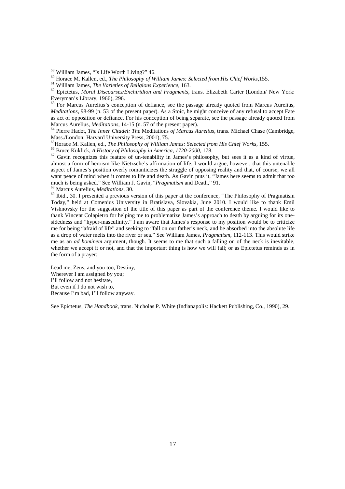$\overline{a}$ 

<sup>63</sup> For Marcus Aurelius's conception of defiance, see the passage already quoted from Marcus Aurelius, *Meditations, 98-99* (n. 53 of the present paper). As a Stoic, he might conceive of any refusal to accept Fate as act of opposition or defiance. For his conception of being separate, see the passage already quoted from Marcus Aurelius, *Meditations,* 14-15 (n. 57 of the present paper).

<sup>64</sup> Pierre Hadot, *The Inner Citadel: The* Meditations *of Marcus Aurelius,* trans. Michael Chase (Cambridge, Mass./London: Harvard University Press, 2001), 75.

<sup>65</sup>Horace M. Kallen, ed., *The Philosophy of William James: Selected from His Chief Works*, 155.

<sup>66</sup> Bruce Kuklick, *A History of Philosophy in America, 1720-2000*, 178.

<sup>67</sup> Gavin recognizes this feature of un-tenability in James's philosophy, but sees it as a kind of virtue, almost a form of heroism like Nietzsche's affirmation of life. I would argue, however, that this untenable aspect of James's position overly romanticizes the struggle of opposing reality and that, of course, we all want peace of mind when it comes to life and death. As Gavin puts it, "James here seems to admit that too much is being asked." See William J. Gavin, "*Pragmatism* and Death," 91.

<sup>68</sup> Marcus Aurelius, *Meditations*, 30.

<sup>69</sup> Ibid., 30. I presented a previous version of this paper at the conference, "The Philosophy of Pragmatism" Today," held at Comenius University in Bratislava, Slovakia, June 2010. I would like to thank Emil Vishnovsky for the suggestion of the title of this paper as part of the conference theme. I would like to thank Vincent Colapietro for helping me to problematize James's approach to death by arguing for its onesidedness and "hyper-masculinity." I am aware that James's response to my position would be to criticize me for being "afraid of life" and seeking to "fall on our father's neck, and be absorbed into the absolute life as a drop of water melts into the river or sea." See William James, *Pragmatism,* 112-113. This would strike me as an *ad hominem* argument, though. It seems to me that such a falling on of the neck is inevitable, whether we accept it or not, and that the important thing is how we will fall; or as Epictetus reminds us in the form of a prayer:

Lead me, Zeus, and you too, Destiny, Wherever I am assigned by you; I'll follow and not hesitate, But even if I do not wish to, Because I'm bad, I'll follow anyway.

See Epictetus, *The Handbook*, trans. Nicholas P. White (Indianapolis: Hackett Publishing, Co., 1990), 29.

<sup>59</sup> William James, "Is Life Worth Living?" 46.

<sup>60</sup> Horace M. Kallen, ed., *The Philosophy of William James: Selected from His Chief Works,*155.

<sup>61</sup> William James, *The Varieties of Religious Experience,* 163.

<sup>62</sup> Epictetus, *Moral Discourses/Enchiridion and Fragments*, trans. Elizabeth Carter (London/ New York: Everyman's Library, 1966), 296.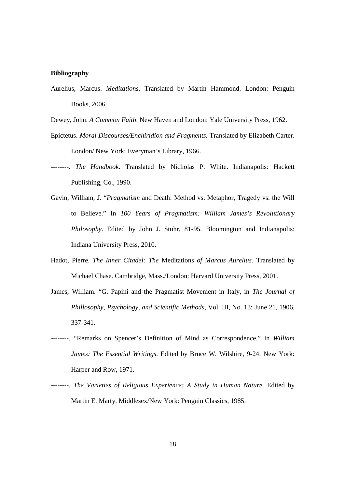#### **Bibliography**

 $\overline{a}$ 

Aurelius, Marcus. *Meditations*. Translated by Martin Hammond. London: Penguin Books, 2006.

Dewey, John. *A Common Faith*. New Haven and London: Yale University Press, 1962.

- Epictetus. *Moral Discourses/Enchiridion and Fragments.* Translated by Elizabeth Carter. London/ New York: Everyman's Library, 1966.
- --------. *The Handbook*. Translated by Nicholas P. White. Indianapolis: Hackett Publishing, Co., 1990.
- Gavin, William, J. "*Pragmatism* and Death: Method vs. Metaphor, Tragedy vs. the Will to Believe." In *100 Years of Pragmatism: William James's Revolutionary Philosophy*. Edited by John J. Stuhr, 81-95. Bloomington and Indianapolis: Indiana University Press, 2010.
- Hadot, Pierre. *The Inner Citadel: The* Meditations *of Marcus Aurelius.* Translated by Michael Chase. Cambridge, Mass./London: Harvard University Press, 2001.
- James, William. "G. Papini and the Pragmatist Movement in Italy, in *The Journal of Phillosophy, Psychology, and Scientific Methods,* Vol. III, No. 13: June 21, 1906, 337-341.
- --------. "Remarks on Spencer's Definition of Mind as Correspondence." In *William James: The Essential Writings*. Edited by Bruce W. Wilshire, 9-24. New York: Harper and Row, 1971.
- --------. *The Varieties of Religious Experience: A Study in Human Nature*. Edited by Martin E. Marty. Middlesex/New York: Penguin Classics, 1985.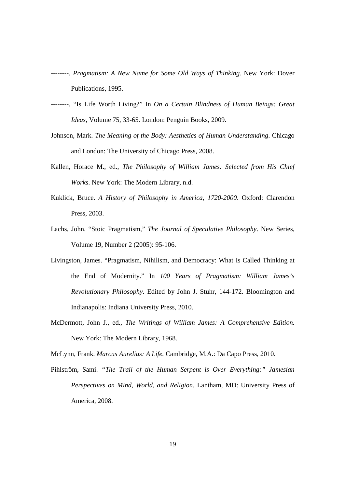--------. *Pragmatism: A New Name for Some Old Ways of Thinking*. New York: Dover Publications, 1995.

 $\overline{a}$ 

- --------. "Is Life Worth Living?" In *On a Certain Blindness of Human Beings: Great Ideas,* Volume 75, 33-65. London: Penguin Books, 2009.
- Johnson, Mark. *The Meaning of the Body: Aesthetics of Human Understanding*. Chicago and London: The University of Chicago Press, 2008.
- Kallen, Horace M., ed., *The Philosophy of William James: Selected from His Chief Works*. New York: The Modern Library, n.d.
- Kuklick, Bruce. *A History of Philosophy in America, 1720-2000*. Oxford: Clarendon Press, 2003.
- Lachs, John. "Stoic Pragmatism," *The Journal of Speculative Philosophy*. New Series, Volume 19, Number 2 (2005): 95-106.
- Livingston, James. "Pragmatism, Nihilism, and Democracy: What Is Called Thinking at the End of Modernity." In *100 Years of Pragmatism: William James's Revolutionary Philosophy*. Edited by John J. Stuhr, 144-172. Bloomington and Indianapolis: Indiana University Press, 2010.
- McDermott, John J., ed., *The Writings of William James: A Comprehensive Edition.*  New York: The Modern Library, 1968.

McLynn, Frank. *Marcus Aurelius: A Life.* Cambridge, M.A.: Da Capo Press, 2010.

Pihlström, Sami. *"The Trail of the Human Serpent is Over Everything:" Jamesian Perspectives on Mind, World, and Religion*. Lantham, MD: University Press of America, 2008.